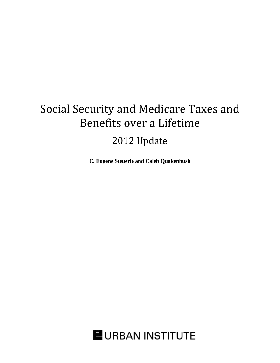# Social Security and Medicare Taxes and Benefits over a Lifetime

# 2012 Update

**C. Eugene Steuerle and Caleb Quakenbush**

**URBAN INSTITUTE**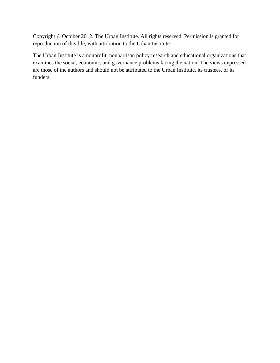Copyright © October 2012. The Urban Institute. All rights reserved. Permission is granted for reproduction of this file, with attribution to the Urban Institute.

The Urban Institute is a nonprofit, nonpartisan policy research and educational organizations that examines the social, economic, and governance problems facing the nation. The views expressed are those of the authors and should not be attributed to the Urban Institute, its trustees, or its funders.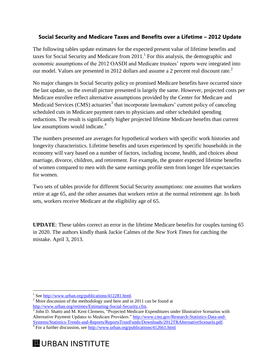# **Social Security and Medicare Taxes and Benefits over a Lifetime – 2012 Update**

The following tables update estimates for the expected present value of lifetime benefits and taxes for Social Security and Medicare from  $2011$ .<sup>1</sup> For this analysis, the demographic and economic assumptions of the 2012 OASDI and Medicare trustees' reports were integrated into our model. Values are presented in 2012 dollars and assume a 2 percent real discount rate.<sup>2</sup>

No major changes in Social Security policy or promised Medicare benefits have occurred since the last update, so the overall picture presented is largely the same. However, projected costs per Medicare enrollee reflect alternative assumptions provided by the Center for Medicare and Medicaid Services (CMS) actuaries<sup>3</sup> that incorporate lawmakers' current policy of canceling scheduled cuts in Medicare payment rates to physicians and other scheduled spending reductions. The result is significantly higher projected lifetime Medicare benefits than current law assumptions would indicate.<sup>4</sup>

The numbers presented are averages for hypothetical workers with specific work histories and longevity characteristics. Lifetime benefits and taxes experienced by specific households in the economy will vary based on a number of factors, including income, health, and choices about marriage, divorce, children, and retirement. For example, the greater expected lifetime benefits of women compared to men with the same earnings profile stem from longer life expectancies for women.

Two sets of tables provide for different Social Security assumptions: one assumes that workers retire at age 65, and the other assumes that workers retire at the normal retirement age. In both sets, workers receive Medicare at the eligibility age of 65.

**UPDATE**: These tables correct an error in the lifetime Medicare benefits for couples turning 65 in 2020. The authors kindly thank Jackie Calmes of the *New York Times* for catching the mistake. April 3, 2013.

 $\overline{a}$ 

<sup>&</sup>lt;sup>1</sup> Se[e http://www.urban.org/publications/412281.html.](http://www.urban.org/publications/412281.html)

 $2^{2}$  More discussion of the methodology used here and in 2011 can be found at [http://www.urban.org/retirees/Estimating-Social-Security.cfm.](http://www.urban.org/retirees/Estimating-Social-Security.cfm)

<sup>&</sup>lt;sup>3</sup> John D. Shatto and M. Kent Clemens, "Projected Medicare Expenditures under Illustrative Scenarios with Alternative Payment Updates to Medicare Providers." [http://www.cms.gov/Research-Statistics-Data-and-](http://www.cms.gov/Research-Statistics-Data-and-Systems/Statistics-Trends-and-Reports/ReportsTrustFunds/Downloads/2012TRAlternativeScenario.pdf)[Systems/Statistics-Trends-and-Reports/ReportsTrustFunds/Downloads/2012TRAlternativeScenario.pdf.](http://www.cms.gov/Research-Statistics-Data-and-Systems/Statistics-Trends-and-Reports/ReportsTrustFunds/Downloads/2012TRAlternativeScenario.pdf)

 $4^{4}$  For a further discussion, see<http://www.urban.org/publications/412661.html>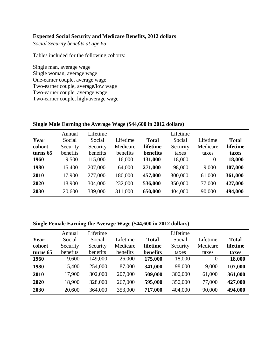# **Expected Social Security and Medicare Benefits, 2012 dollars**

*Social Security benefits at age 65*

#### Tables included for the following cohorts:

Single man, average wage Single woman, average wage One-earner couple, average wage Two-earner couple, average/low wage Two-earner couple, average wage Two-earner couple, high/average wage

| Year     | Annual<br>Social | Lifetime<br>Social | Lifetime | <b>Total</b> | Lifetime<br>Social | Lifetime       | <b>Total</b> |
|----------|------------------|--------------------|----------|--------------|--------------------|----------------|--------------|
| cohort   | Security         | Security           | Medicare | lifetime     | Security           | Medicare       | lifetime     |
| turns 65 | benefits         | benefits           | benefits | benefits     | taxes              | taxes          | taxes        |
| 1960     | 9,500            | 115,000            | 16,000   | 131,000      | 18,000             | $\overline{0}$ | 18,000       |
| 1980     | 15,400           | 207,000            | 64,000   | 271,000      | 98,000             | 9,000          | 107,000      |
| 2010     | 17,900           | 277,000            | 180,000  | 457,000      | 300,000            | 61,000         | 361,000      |
| 2020     | 18,900           | 304,000            | 232,000  | 536,000      | 350,000            | 77,000         | 427,000      |
| 2030     | 20,600           | 339,000            | 311,000  | 650,000      | 404,000            | 90,000         | 494,000      |
|          |                  |                    |          |              |                    |                |              |

## **Single Male Earning the Average Wage (\$44,600 in 2012 dollars)**

# **Single Female Earning the Average Wage (\$44,600 in 2012 dollars)**

|          | Annual   | Lifetime |          |              | Lifetime |          |              |
|----------|----------|----------|----------|--------------|----------|----------|--------------|
| Year     | Social   | Social   | Lifetime | <b>Total</b> | Social   | Lifetime | <b>Total</b> |
| cohort   | Security | Security | Medicare | lifetime     | Security | Medicare | lifetime     |
| turns 65 | benefits | benefits | benefits | benefits     | taxes    | taxes    | taxes        |
| 1960     | 9,600    | 149,000  | 26,000   | 175,000      | 18,000   | $\Omega$ | 18,000       |
| 1980     | 15,400   | 254,000  | 87,000   | 341,000      | 98,000   | 9,000    | 107,000      |
| 2010     | 17,900   | 302,000  | 207,000  | 509,000      | 300,000  | 61,000   | 361,000      |
| 2020     | 18,900   | 328,000  | 267,000  | 595,000      | 350,000  | 77,000   | 427,000      |
| 2030     | 20,600   | 364,000  | 353,000  | 717,000      | 404,000  | 90,000   | 494,000      |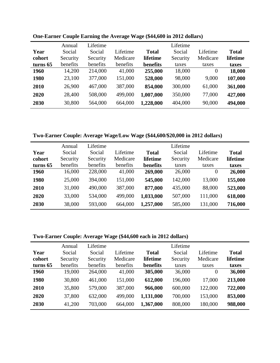|          | Annual   | Lifetime |          |              | Lifetime |          |              |
|----------|----------|----------|----------|--------------|----------|----------|--------------|
| Year     | Social   | Social   | Lifetime | <b>Total</b> | Social   | Lifetime | <b>Total</b> |
| cohort   | Security | Security | Medicare | lifetime     | Security | Medicare | lifetime     |
| turns 65 | benefits | benefits | benefits | benefits     | taxes    | taxes    | taxes        |
| 1960     | 14,200   | 214,000  | 41,000   | 255,000      | 18,000   | $\theta$ | 18,000       |
| 1980     | 23,100   | 377,000  | 151,000  | 528,000      | 98,000   | 9,000    | 107,000      |
| 2010     | 26,900   | 467,000  | 387,000  | 854,000      | 300,000  | 61,000   | 361,000      |
| 2020     | 28,400   | 508,000  | 499,000  | 1,007,000    | 350,000  | 77,000   | 427,000      |
| 2030     | 30,800   | 564,000  | 664,000  | 1,228,000    | 404,000  | 90,000   | 494,000      |

**One-Earner Couple Earning the Average Wage (\$44,600 in 2012 dollars)**

**Two-Earner Couple: Average Wage/Low Wage (\$44,600/\$20,000 in 2012 dollars)**

|          | Annual   | Lifetime |          |           | Lifetime |          |              |
|----------|----------|----------|----------|-----------|----------|----------|--------------|
| Year     | Social   | Social   | Lifetime | Total     | Social   | Lifetime | <b>Total</b> |
| cohort   | Security | Security | Medicare | lifetime  | Security | Medicare | lifetime     |
| turns 65 | benefits | benefits | benefits | benefits  | taxes    | taxes    | taxes        |
| 1960     | 16,000   | 228,000  | 41,000   | 269,000   | 26,000   | $\Omega$ | 26,000       |
| 1980     | 25,000   | 394,000  | 151,000  | 545,000   | 142,000  | 13,000   | 155,000      |
| 2010     | 31,000   | 490,000  | 387,000  | 877,000   | 435,000  | 88,000   | 523,000      |
| 2020     | 33,000   | 534,000  | 499,000  | 1,033,000 | 507,000  | 111,000  | 618,000      |
| 2030     | 38,000   | 593,000  | 664,000  | 1,257,000 | 585,000  | 131,000  | 716,000      |

# **Two-Earner Couple: Average Wage (\$44,600 each in 2012 dollars)**

|          | Annual   | Lifetime |          |              | Lifetime |          |              |
|----------|----------|----------|----------|--------------|----------|----------|--------------|
| Year     | Social   | Social   | Lifetime | <b>Total</b> | Social   | Lifetime | <b>Total</b> |
| cohort   | Security | Security | Medicare | lifetime     | Security | Medicare | lifetime     |
| turns 65 | benefits | benefits | benefits | benefits     | taxes    | taxes    | taxes        |
| 1960     | 19,000   | 264,000  | 41,000   | 305,000      | 36,000   | 0        | 36,000       |
| 1980     | 30,800   | 461,000  | 151,000  | 612,000      | 196,000  | 17,000   | 213,000      |
| 2010     | 35,800   | 579,000  | 387,000  | 966,000      | 600,000  | 122,000  | 722,000      |
| 2020     | 37,800   | 632,000  | 499,000  | 1,131,000    | 700,000  | 153,000  | 853,000      |
| 2030     | 41,200   | 703,000  | 664,000  | 1,367,000    | 808,000  | 180,000  | 988,000      |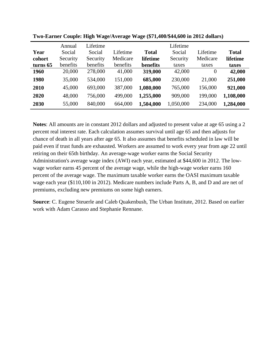|             | Annual   | Lifetime |          |              | Lifetime  |          |              |
|-------------|----------|----------|----------|--------------|-----------|----------|--------------|
| Year        | Social   | Social   | Lifetime | <b>Total</b> | Social    | Lifetime | <b>Total</b> |
| cohort      | Security | Security | Medicare | lifetime     | Security  | Medicare | lifetime     |
| turns 65    | benefits | benefits | benefits | benefits     | taxes     | taxes    | taxes        |
| <b>1960</b> | 20,000   | 278,000  | 41,000   | 319,000      | 42,000    | $\theta$ | 42,000       |
| 1980        | 35,000   | 534,000  | 151,000  | 685,000      | 230,000   | 21,000   | 251,000      |
| 2010        | 45,000   | 693,000  | 387,000  | 1,080,000    | 765,000   | 156,000  | 921,000      |
| 2020        | 48,000   | 756,000  | 499,000  | 1,255,000    | 909,000   | 199,000  | 1,108,000    |
| 2030        | 55,000   | 840,000  | 664,000  | 1,504,000    | 1,050,000 | 234,000  | 1,284,000    |

**Two-Earner Couple: High Wage/Average Wage (\$71,400/\$44,600 in 2012 dollars)**

**Notes**: All amounts are in constant 2012 dollars and adjusted to present value at age 65 using a 2 percent real interest rate. Each calculation assumes survival until age 65 and then adjusts for chance of death in all years after age 65. It also assumes that benefits scheduled in law will be paid even if trust funds are exhausted. Workers are assumed to work every year from age 22 until retiring on their 65th birthday. An average-wage worker earns the Social Security Administration's average wage index (AWI) each year, estimated at \$44,600 in 2012. The lowwage worker earns 45 percent of the average wage, while the high-wage worker earns 160 percent of the average wage. The maximum taxable worker earns the OASI maximum taxable wage each year (\$110,100 in 2012). Medicare numbers include Parts A, B, and D and are net of premiums, excluding new premiums on some high earners.

**Source**: C. Eugene Steuerle and Caleb Quakenbush, The Urban Institute, 2012. Based on earlier work with Adam Carasso and Stephanie Rennane.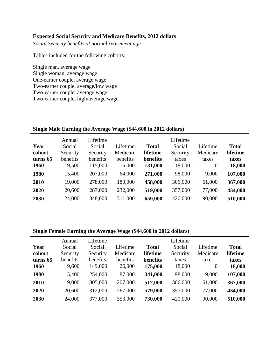# **Expected Social Security and Medicare Benefits, 2012 dollars**

*Social Security benefits at normal retirement age*

### Tables included for the following cohorts:

Single man, average wage Single woman, average wage One-earner couple, average wage Two-earner couple, average/low wage Two-earner couple, average wage Two-earner couple, high/average wage

| Year<br>cohort<br>turns 65 | Annual<br>Social<br>Security<br>benefits | Lifetime<br>Social<br>Security<br>benefits | Lifetime<br>Medicare<br>benefits | <b>Total</b><br>lifetime<br>benefits | Lifetime<br>Social<br>Security<br>taxes | Lifetime<br>Medicare<br>taxes | <b>Total</b><br>lifetime<br>taxes |
|----------------------------|------------------------------------------|--------------------------------------------|----------------------------------|--------------------------------------|-----------------------------------------|-------------------------------|-----------------------------------|
| 1960                       | 9,500                                    | 115,000                                    | 16,000                           | 131,000                              | 18,000                                  | $\overline{0}$                | 18,000                            |
| 1980                       | 15,400                                   | 207,000                                    | 64,000                           | 271,000                              | 98,000                                  | 9,000                         | 107,000                           |
| 2010                       | 19,000                                   | 278,000                                    | 180,000                          | 458,000                              | 306,000                                 | 61,000                        | 367,000                           |
| 2020                       | 20,600                                   | 287,000                                    | 232,000                          | 519,000                              | 357,000                                 | 77,000                        | 434,000                           |
| 2030                       | 24,000                                   | 348,000                                    | 311,000                          | 659,000                              | 420,000                                 | 90,000                        | 510,000                           |

## **Single Male Earning the Average Wage (\$44,600 in 2012 dollars)**

## **Single Female Earning the Average Wage (\$44,600 in 2012 dollars)**

|          | Annual   | Lifetime |          |              | Lifetime |                |              |
|----------|----------|----------|----------|--------------|----------|----------------|--------------|
| Year     | Social   | Social   | Lifetime | <b>Total</b> | Social   | Lifetime       | <b>Total</b> |
| cohort   | Security | Security | Medicare | lifetime     | Security | Medicare       | lifetime     |
| turns 65 | benefits | benefits | benefits | benefits     | taxes    | taxes          | taxes        |
| 1960     | 9,600    | 149,000  | 26,000   | 175,000      | 18,000   | $\overline{0}$ | 18,000       |
| 1980     | 15,400   | 254,000  | 87,000   | 341,000      | 98,000   | 9,000          | 107,000      |
| 2010     | 19,000   | 305,000  | 207,000  | 512,000      | 306,000  | 61,000         | 367,000      |
| 2020     | 20,600   | 312,000  | 267,000  | 579,000      | 357,000  | 77,000         | 434,000      |
| 2030     | 24,000   | 377,000  | 353,000  | 730,000      | 420,000  | 90,000         | 510,000      |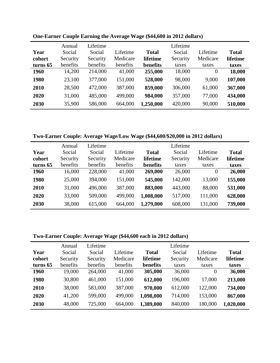| Year        | Annual<br>Social | Lifetime<br>Social | Lifetime | <b>Total</b> | Lifetime<br>Social | Lifetime | <b>Total</b> |
|-------------|------------------|--------------------|----------|--------------|--------------------|----------|--------------|
| cohort      | Security         | Security           | Medicare | lifetime     | Security           | Medicare | lifetime     |
| turns 65    | benefits         | benefits           | benefits | benefits     | taxes              | taxes    | taxes        |
| <b>1960</b> | 14,200           | 214,000            | 41,000   | 255,000      | 18,000             | $\theta$ | 18,000       |
| 1980        | 23,100           | 377,000            | 151,000  | 528,000      | 98,000             | 9,000    | 107,000      |
| 2010        | 28,500           | 472,000            | 387,000  | 859,000      | 306,000            | 61,000   | 367,000      |
| 2020        | 31,000           | 485,000            | 499,000  | 984,000      | 357,000            | 77,000   | 434,000      |
| 2030        | 35,900           | 586,000            | 664,000  | 1,250,000    | 420,000            | 90,000   | 510,000      |

**One-Earner Couple Earning the Average Wage (\$44,600 in 2012 dollars)**

**Two-Earner Couple: Average Wage/Low Wage (\$44,600/\$20,000 in 2012 dollars)**

|          | Annual   | Lifetime |          |              | Lifetime |          |              |
|----------|----------|----------|----------|--------------|----------|----------|--------------|
| Year     | Social   | Social   | Lifetime | <b>Total</b> | Social   | Lifetime | <b>Total</b> |
| cohort   | Security | Security | Medicare | lifetime     | Security | Medicare | lifetime     |
| turns 65 | benefits | benefits | benefits | benefits     | taxes    | taxes    | taxes        |
| 1960     | 16,000   | 228,000  | 41,000   | 269,000      | 26,000   | $\Omega$ | 26,000       |
| 1980     | 25,000   | 394,000  | 151,000  | 545,000      | 142,000  | 13,000   | 155,000      |
| 2010     | 31,000   | 496,000  | 387,000  | 883,000      | 443,000  | 88,000   | 531,000      |
| 2020     | 33,000   | 509,000  | 499,000  | 1,008,000    | 517,000  | 111,000  | 628,000      |
| 2030     | 38,000   | 615,000  | 664,000  | 1,279,000    | 608,000  | 131,000  | 739,000      |

# **Two-Earner Couple: Average Wage (\$44,600 each in 2012 dollars)**

|          | Annual   | Lifetime |          |              | Lifetime |          |              |
|----------|----------|----------|----------|--------------|----------|----------|--------------|
| Year     | Social   | Social   | Lifetime | <b>Total</b> | Social   | Lifetime | <b>Total</b> |
| cohort   | Security | Security | Medicare | lifetime     | Security | Medicare | lifetime     |
| turns 65 | benefits | benefits | benefits | benefits     | taxes    | taxes    | taxes        |
| 1960     | 19,000   | 264,000  | 41,000   | 305,000      | 36,000   | 0        | 36,000       |
| 1980     | 30,800   | 461,000  | 151,000  | 612,000      | 196,000  | 17,000   | 213,000      |
| 2010     | 38,000   | 583,000  | 387,000  | 970,000      | 612,000  | 122,000  | 734,000      |
| 2020     | 41,200   | 599,000  | 499,000  | 1,098,000    | 714,000  | 153,000  | 867,000      |
| 2030     | 48,000   | 725,000  | 664,000  | 1,389,000    | 840,000  | 180,000  | 1,020,000    |